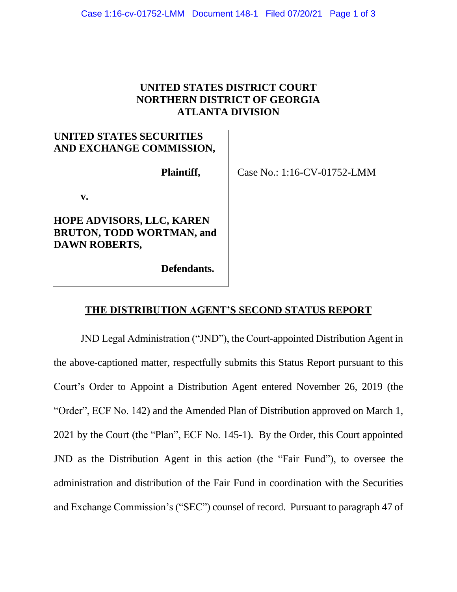## **UNITED STATES DISTRICT COURT NORTHERN DISTRICT OF GEORGIA ATLANTA DIVISION**

# **UNITED STATES SECURITIES AND EXCHANGE COMMISSION,**

**Plaintiff,**

Case No.: 1:16-CV-01752-LMM

**v.**

## **HOPE ADVISORS, LLC, KAREN BRUTON, TODD WORTMAN, and DAWN ROBERTS,**

**Defendants.**

# **THE DISTRIBUTION AGENT'S SECOND STATUS REPORT**

JND Legal Administration ("JND"), the Court-appointed Distribution Agent in the above-captioned matter, respectfully submits this Status Report pursuant to this Court's Order to Appoint a Distribution Agent entered November 26, 2019 (the "Order", ECF No. 142) and the Amended Plan of Distribution approved on March 1, 2021 by the Court (the "Plan", ECF No. 145-1). By the Order, this Court appointed JND as the Distribution Agent in this action (the "Fair Fund"), to oversee the administration and distribution of the Fair Fund in coordination with the Securities and Exchange Commission's ("SEC") counsel of record. Pursuant to paragraph 47 of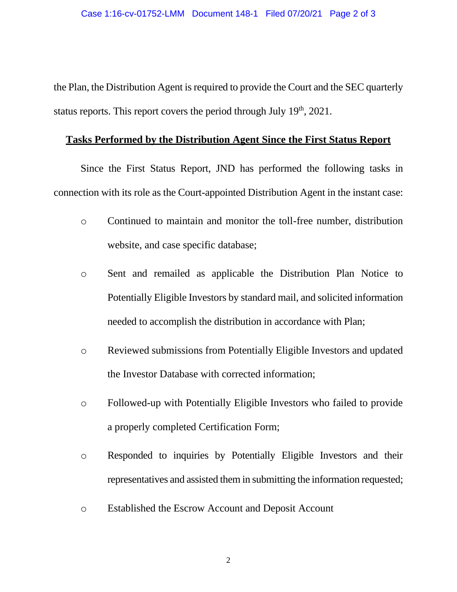the Plan, the Distribution Agent is required to provide the Court and the SEC quarterly status reports. This report covers the period through July  $19<sup>th</sup>$ , 2021.

#### **Tasks Performed by the Distribution Agent Since the First Status Report**

Since the First Status Report, JND has performed the following tasks in connection with its role as the Court-appointed Distribution Agent in the instant case:

- o Continued to maintain and monitor the toll-free number, distribution website, and case specific database;
- o Sent and remailed as applicable the Distribution Plan Notice to Potentially Eligible Investors by standard mail, and solicited information needed to accomplish the distribution in accordance with Plan;
- o Reviewed submissions from Potentially Eligible Investors and updated the Investor Database with corrected information;
- o Followed-up with Potentially Eligible Investors who failed to provide a properly completed Certification Form;
- o Responded to inquiries by Potentially Eligible Investors and their representatives and assisted them in submitting the information requested;
- o Established the Escrow Account and Deposit Account